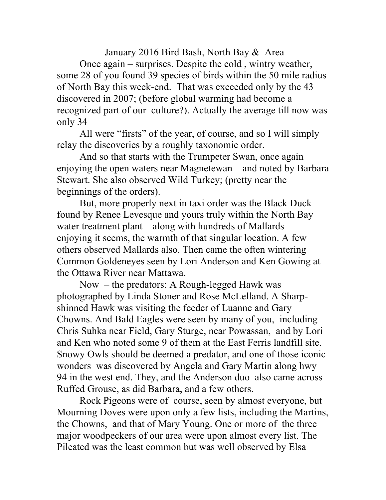January 2016 Bird Bash, North Bay & Area

Once again – surprises. Despite the cold , wintry weather, some 28 of you found 39 species of birds within the 50 mile radius of North Bay this week-end. That was exceeded only by the 43 discovered in 2007; (before global warming had become a recognized part of our culture?). Actually the average till now was only 34

All were "firsts" of the year, of course, and so I will simply relay the discoveries by a roughly taxonomic order.

And so that starts with the Trumpeter Swan, once again enjoying the open waters near Magnetewan – and noted by Barbara Stewart. She also observed Wild Turkey; (pretty near the beginnings of the orders).

But, more properly next in taxi order was the Black Duck found by Renee Levesque and yours truly within the North Bay water treatment plant – along with hundreds of Mallards – enjoying it seems, the warmth of that singular location. A few others observed Mallards also. Then came the often wintering Common Goldeneyes seen by Lori Anderson and Ken Gowing at the Ottawa River near Mattawa.

Now – the predators: A Rough-legged Hawk was photographed by Linda Stoner and Rose McLelland. A Sharpshinned Hawk was visiting the feeder of Luanne and Gary Chowns. And Bald Eagles were seen by many of you, including Chris Suhka near Field, Gary Sturge, near Powassan, and by Lori and Ken who noted some 9 of them at the East Ferris landfill site. Snowy Owls should be deemed a predator, and one of those iconic wonders was discovered by Angela and Gary Martin along hwy 94 in the west end. They, and the Anderson duo also came across Ruffed Grouse, as did Barbara, and a few others.

Rock Pigeons were of course, seen by almost everyone, but Mourning Doves were upon only a few lists, including the Martins, the Chowns, and that of Mary Young. One or more of the three major woodpeckers of our area were upon almost every list. The Pileated was the least common but was well observed by Elsa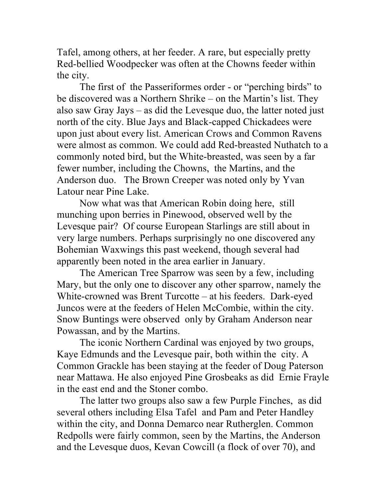Tafel, among others, at her feeder. A rare, but especially pretty Red-bellied Woodpecker was often at the Chowns feeder within the city.

The first of the Passeriformes order - or "perching birds" to be discovered was a Northern Shrike – on the Martin's list. They also saw Gray Jays – as did the Levesque duo, the latter noted just north of the city. Blue Jays and Black-capped Chickadees were upon just about every list. American Crows and Common Ravens were almost as common. We could add Red-breasted Nuthatch to a commonly noted bird, but the White-breasted, was seen by a far fewer number, including the Chowns, the Martins, and the Anderson duo. The Brown Creeper was noted only by Yvan Latour near Pine Lake.

Now what was that American Robin doing here, still munching upon berries in Pinewood, observed well by the Levesque pair? Of course European Starlings are still about in very large numbers. Perhaps surprisingly no one discovered any Bohemian Waxwings this past weekend, though several had apparently been noted in the area earlier in January.

The American Tree Sparrow was seen by a few, including Mary, but the only one to discover any other sparrow, namely the White-crowned was Brent Turcotte – at his feeders. Dark-eyed Juncos were at the feeders of Helen McCombie, within the city. Snow Buntings were observed only by Graham Anderson near Powassan, and by the Martins.

The iconic Northern Cardinal was enjoyed by two groups, Kaye Edmunds and the Levesque pair, both within the city. A Common Grackle has been staying at the feeder of Doug Paterson near Mattawa. He also enjoyed Pine Grosbeaks as did Ernie Frayle in the east end and the Stoner combo.

The latter two groups also saw a few Purple Finches, as did several others including Elsa Tafel and Pam and Peter Handley within the city, and Donna Demarco near Rutherglen. Common Redpolls were fairly common, seen by the Martins, the Anderson and the Levesque duos, Kevan Cowcill (a flock of over 70), and